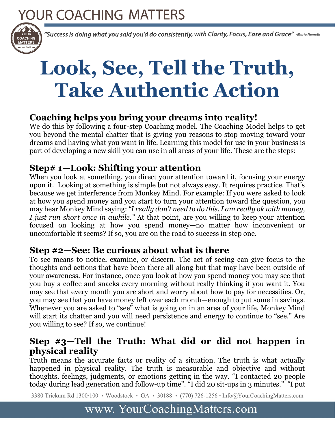# YOUR COACHING MATTERS



"Success is doing what you said you'd do consistently, with Clarity, Focus, Ease and Grace" -Maria Nemeth

 $\overline{a}$ 

# **Look, See, Tell the Truth, Take Authentic Action**

#### **Coaching helps you bring your dreams into reality!**

We do this by following a four-step Coaching model. The Coaching Model helps to get you beyond the mental chatter that is giving you reasons to stop moving toward your dreams and having what you want in life. Learning this model for use in your business is part of developing a new skill you can use in all areas of your life. These are the steps:

#### **Step# 1—Look: Shifting your attention**

When you look at something, you direct your attention toward it, focusing your energy upon it. Looking at something is simple but not always easy. It requires practice. That's because we get interference from Monkey Mind. For example: If you were asked to look at how you spend money and you start to turn your attention toward the question, you may hear Monkey Mind saying: *"I really don't need to do this. I am really ok with money, I just run short once in awhile."* At that point, are you willing to keep your attention focused on looking at how you spend money—no matter how inconvenient or uncomfortable it seems? If so, you are on the road to success in step one.

#### **Step #2—See: Be curious about what is there**

To see means to notice, examine, or discern. The act of seeing can give focus to the thoughts and actions that have been there all along but that may have been outside of your awareness. For instance, once you look at how you spend money you may see that you buy a coffee and snacks every morning without really thinking if you want it. You may see that every month you are short and worry about how to pay for necessities. Or, you may see that you have money left over each month—enough to put some in savings. Whenever you are asked to "see" what is going on in an area of your life, Monkey Mind will start its chatter and you will need persistence and energy to continue to "see." Are you willing to see? If so, we continue!

#### **Step #3—Tell the Truth: What did or did not happen in physical reality**

Truth means the accurate facts or reality of a situation. The truth is what actually happened in physical reality. The truth is measurable and objective and without thoughts, feelings, judgments, or emotions getting in the way. "I contacted 20 people today during lead generation and follow-up time". "I did 20 sit-ups in 3 minutes." "I put

3380 Trickum Rd 1300/100 • Woodstock • GA • 30188 • (770) 726-1256 • Info@YourCoachingMatters.com

## www. YourCoachingMatters.com